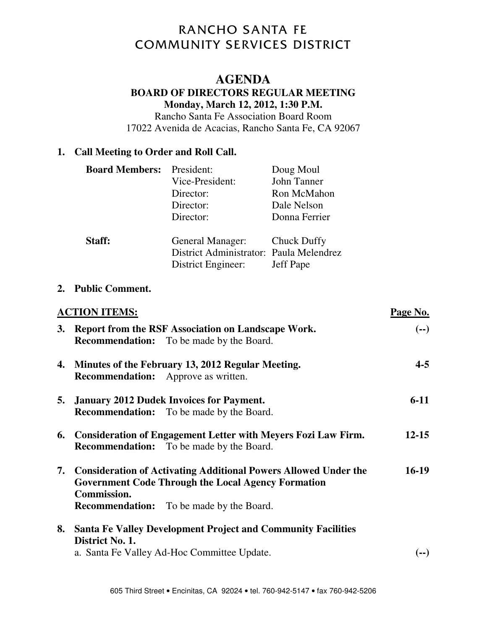# RANCHO SANTA FE **COMMUNITY SERVICES DISTRICT**

## **AGENDA**

#### **BOARD OF DIRECTORS REGULAR MEETING Monday, March 12, 2012, 1:30 P.M.**

Rancho Santa Fe Association Board Room 17022 Avenida de Acacias, Rancho Santa Fe, CA 92067

#### **1. Call Meeting to Order and Roll Call.**

| <b>Board Members:</b> President: |                                         | Doug Moul        |
|----------------------------------|-----------------------------------------|------------------|
|                                  | Vice-President:                         | John Tanner      |
|                                  | Director:                               | Ron McMahon      |
|                                  | Director:                               | Dale Nelson      |
|                                  | Director:                               | Donna Ferrier    |
| Staff:                           | General Manager: Chuck Duffy            |                  |
|                                  | District Administrator: Paula Melendrez |                  |
|                                  | District Engineer:                      | <b>Jeff Pape</b> |

#### **2. Public Comment.**

|    | <b>ACTION ITEMS:</b>                                                                                                                                                                                     | Page No.  |
|----|----------------------------------------------------------------------------------------------------------------------------------------------------------------------------------------------------------|-----------|
| 3. | Report from the RSF Association on Landscape Work.<br><b>Recommendation:</b> To be made by the Board.                                                                                                    | $(--)$    |
| 4. | Minutes of the February 13, 2012 Regular Meeting.<br><b>Recommendation:</b> Approve as written.                                                                                                          | $4 - 5$   |
|    | 5. January 2012 Dudek Invoices for Payment.<br><b>Recommendation:</b> To be made by the Board.                                                                                                           | $6-11$    |
| 6. | <b>Consideration of Engagement Letter with Meyers Fozi Law Firm.</b><br><b>Recommendation:</b> To be made by the Board.                                                                                  | $12 - 15$ |
|    | 7. Consideration of Activating Additional Powers Allowed Under the<br><b>Government Code Through the Local Agency Formation</b><br><b>Commission.</b><br><b>Recommendation:</b> To be made by the Board. | $16-19$   |
| 8. | <b>Santa Fe Valley Development Project and Community Facilities</b><br>District No. 1.                                                                                                                   |           |
|    | a. Santa Fe Valley Ad-Hoc Committee Update.                                                                                                                                                              | (--)      |